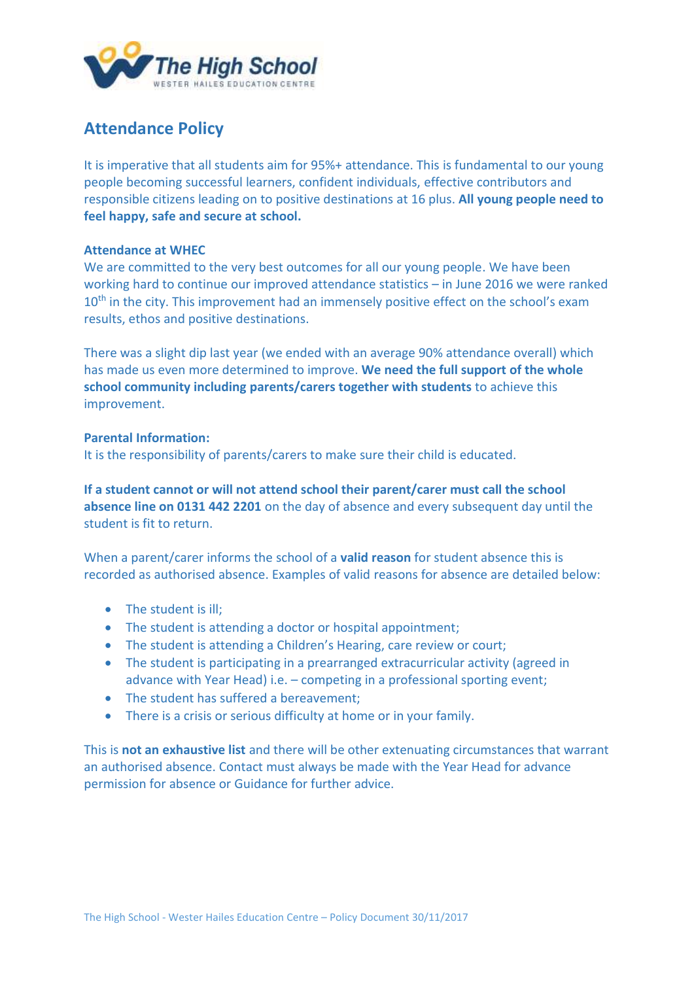

# **Attendance Policy**

It is imperative that all students aim for 95%+ attendance. This is fundamental to our young people becoming successful learners, confident individuals, effective contributors and responsible citizens leading on to positive destinations at 16 plus. **All young people need to feel happy, safe and secure at school.**

### **Attendance at WHEC**

We are committed to the very best outcomes for all our young people. We have been working hard to continue our improved attendance statistics – in June 2016 we were ranked  $10<sup>th</sup>$  in the city. This improvement had an immensely positive effect on the school's exam results, ethos and positive destinations.

There was a slight dip last year (we ended with an average 90% attendance overall) which has made us even more determined to improve. **We need the full support of the whole school community including parents/carers together with students** to achieve this improvement.

#### **Parental Information:**

It is the responsibility of parents/carers to make sure their child is educated.

**If a student cannot or will not attend school their parent/carer must call the school absence line on 0131 442 2201** on the day of absence and every subsequent day until the student is fit to return.

When a parent/carer informs the school of a **valid reason** for student absence this is recorded as authorised absence. Examples of valid reasons for absence are detailed below:

- The student is ill:
- The student is attending a doctor or hospital appointment;
- The student is attending a Children's Hearing, care review or court;
- The student is participating in a prearranged extracurricular activity (agreed in advance with Year Head) i.e. – competing in a professional sporting event;
- The student has suffered a bereavement;
- There is a crisis or serious difficulty at home or in your family.

This is **not an exhaustive list** and there will be other extenuating circumstances that warrant an authorised absence. Contact must always be made with the Year Head for advance permission for absence or Guidance for further advice.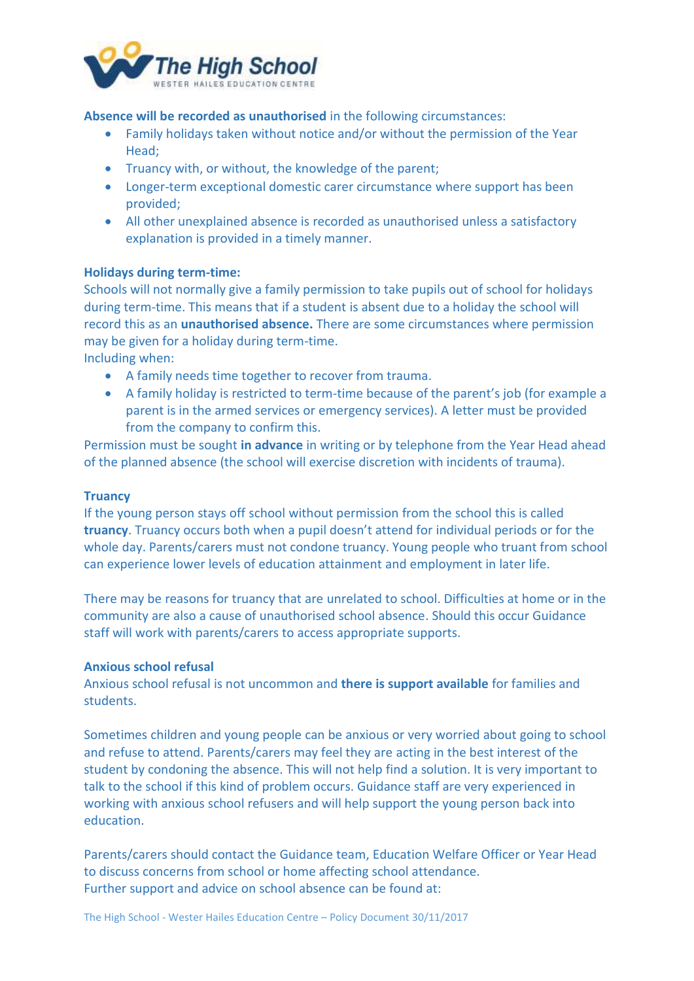

**Absence will be recorded as unauthorised** in the following circumstances:

- Family holidays taken without notice and/or without the permission of the Year Head;
- Truancy with, or without, the knowledge of the parent;
- Longer-term exceptional domestic carer circumstance where support has been provided;
- All other unexplained absence is recorded as unauthorised unless a satisfactory explanation is provided in a timely manner.

### **Holidays during term-time:**

Schools will not normally give a family permission to take pupils out of school for holidays during term-time. This means that if a student is absent due to a holiday the school will record this as an **unauthorised absence.** There are some circumstances where permission may be given for a holiday during term-time.

Including when:

- A family needs time together to recover from trauma.
- A family holiday is restricted to term-time because of the parent's job (for example a parent is in the armed services or emergency services). A letter must be provided from the company to confirm this.

Permission must be sought **in advance** in writing or by telephone from the Year Head ahead of the planned absence (the school will exercise discretion with incidents of trauma).

#### **Truancy**

If the young person stays off school without permission from the school this is called **truancy**. Truancy occurs both when a pupil doesn't attend for individual periods or for the whole day. Parents/carers must not condone truancy. Young people who truant from school can experience lower levels of education attainment and employment in later life.

There may be reasons for truancy that are unrelated to school. Difficulties at home or in the community are also a cause of unauthorised school absence. Should this occur Guidance staff will work with parents/carers to access appropriate supports.

#### **Anxious school refusal**

Anxious school refusal is not uncommon and **there is support available** for families and students.

Sometimes children and young people can be anxious or very worried about going to school and refuse to attend. Parents/carers may feel they are acting in the best interest of the student by condoning the absence. This will not help find a solution. It is very important to talk to the school if this kind of problem occurs. Guidance staff are very experienced in working with anxious school refusers and will help support the young person back into education.

Parents/carers should contact the Guidance team, Education Welfare Officer or Year Head to discuss concerns from school or home affecting school attendance. Further support and advice on school absence can be found at: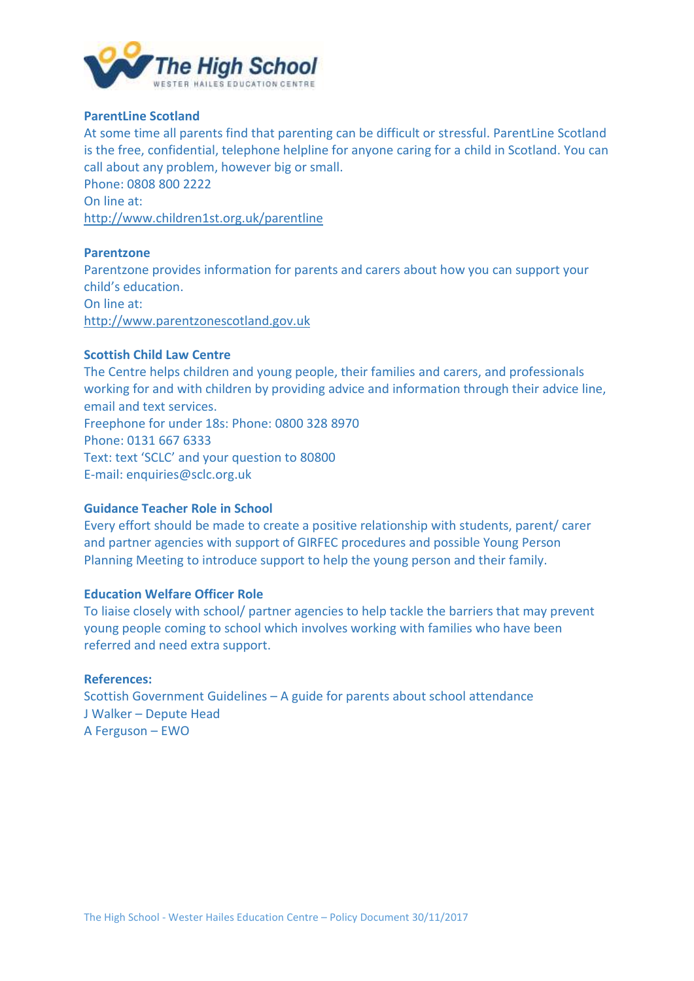

## **ParentLine Scotland**

At some time all parents find that parenting can be difficult or stressful. ParentLine Scotland is the free, confidential, telephone helpline for anyone caring for a child in Scotland. You can call about any problem, however big or small.

Phone: 0808 800 2222 On line at: <http://www.children1st.org.uk/parentline>

#### **Parentzone**

Parentzone provides information for parents and carers about how you can support your child's education. On line at:

[http://www.parentzonescotland.gov.uk](http://www.parentzonescotland.gov.uk/)

## **Scottish Child Law Centre**

The Centre helps children and young people, their families and carers, and professionals working for and with children by providing advice and information through their advice line, email and text services. Freephone for under 18s: Phone: 0800 328 8970 Phone: 0131 667 6333 Text: text 'SCLC' and your question to 80800 E-mail: enquiries@sclc.org.uk

#### **Guidance Teacher Role in School**

Every effort should be made to create a positive relationship with students, parent/ carer and partner agencies with support of GIRFEC procedures and possible Young Person Planning Meeting to introduce support to help the young person and their family.

#### **Education Welfare Officer Role**

To liaise closely with school/ partner agencies to help tackle the barriers that may prevent young people coming to school which involves working with families who have been referred and need extra support.

#### **References:**

Scottish Government Guidelines – A guide for parents about school attendance J Walker – Depute Head A Ferguson – EWO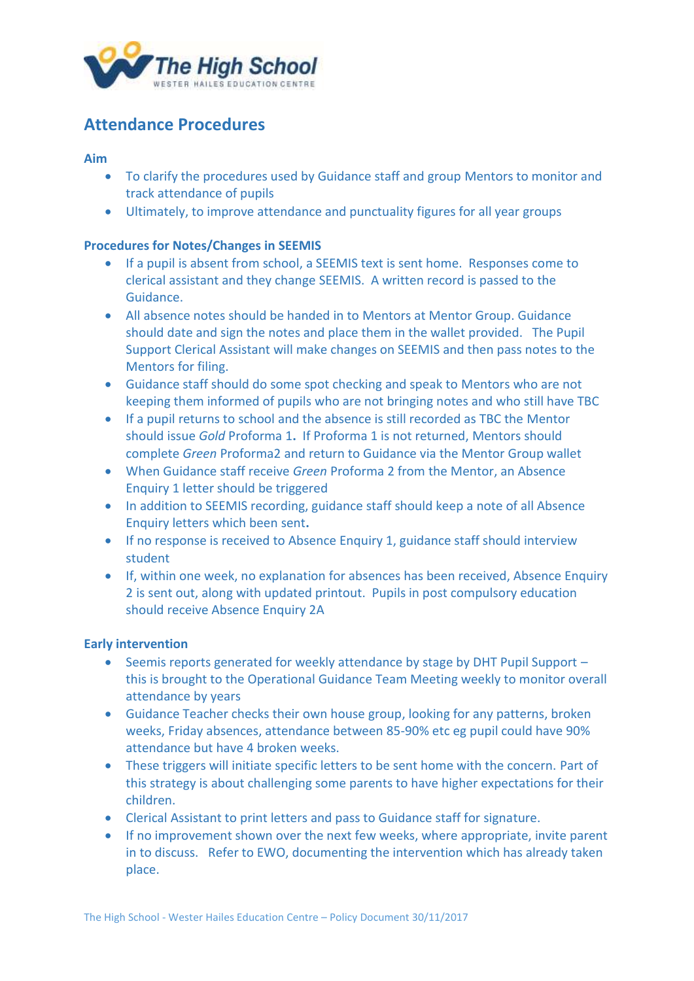

# **Attendance Procedures**

**Aim** 

- To clarify the procedures used by Guidance staff and group Mentors to monitor and track attendance of pupils
- Ultimately, to improve attendance and punctuality figures for all year groups

# **Procedures for Notes/Changes in SEEMIS**

- If a pupil is absent from school, a SEEMIS text is sent home. Responses come to clerical assistant and they change SEEMIS. A written record is passed to the Guidance.
- All absence notes should be handed in to Mentors at Mentor Group. Guidance should date and sign the notes and place them in the wallet provided. The Pupil Support Clerical Assistant will make changes on SEEMIS and then pass notes to the Mentors for filing.
- Guidance staff should do some spot checking and speak to Mentors who are not keeping them informed of pupils who are not bringing notes and who still have TBC
- If a pupil returns to school and the absence is still recorded as TBC the Mentor should issue *Gold* Proforma 1**.** If Proforma 1 is not returned, Mentors should complete *Green* Proforma2 and return to Guidance via the Mentor Group wallet
- When Guidance staff receive *Green* Proforma 2 from the Mentor, an Absence Enquiry 1 letter should be triggered
- In addition to SEEMIS recording, guidance staff should keep a note of all Absence Enquiry letters which been sent**.**
- If no response is received to Absence Enquiry 1, guidance staff should interview student
- If, within one week, no explanation for absences has been received, Absence Enquiry 2 is sent out, along with updated printout. Pupils in post compulsory education should receive Absence Enquiry 2A

### **Early intervention**

- Seemis reports generated for weekly attendance by stage by DHT Pupil Support this is brought to the Operational Guidance Team Meeting weekly to monitor overall attendance by years
- Guidance Teacher checks their own house group, looking for any patterns, broken weeks, Friday absences, attendance between 85-90% etc eg pupil could have 90% attendance but have 4 broken weeks.
- These triggers will initiate specific letters to be sent home with the concern. Part of this strategy is about challenging some parents to have higher expectations for their children.
- Clerical Assistant to print letters and pass to Guidance staff for signature.
- If no improvement shown over the next few weeks, where appropriate, invite parent in to discuss. Refer to EWO, documenting the intervention which has already taken place.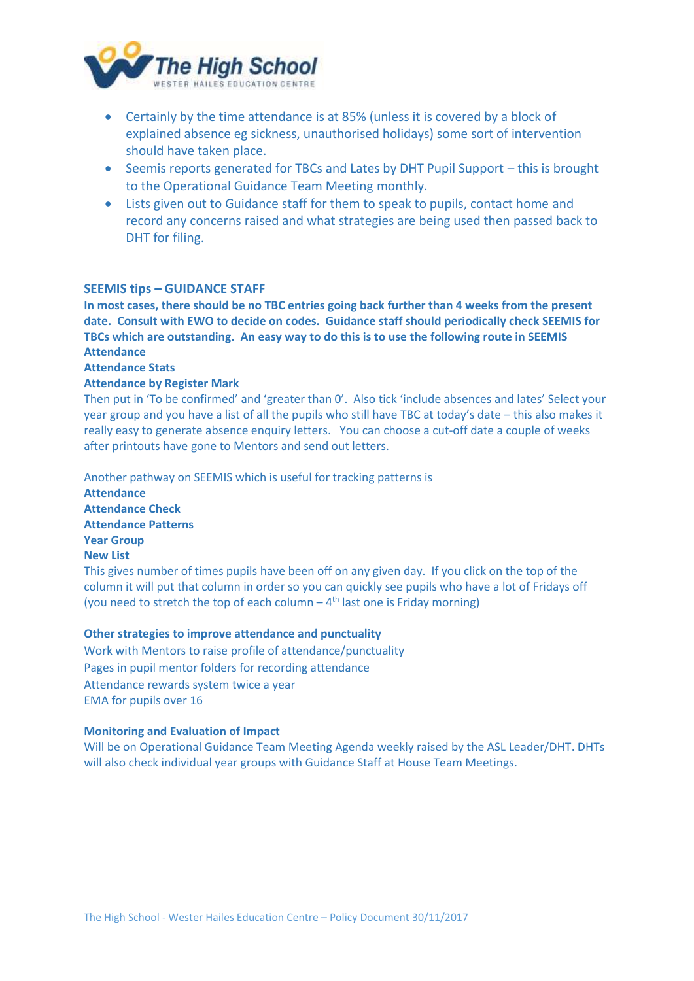

- Certainly by the time attendance is at 85% (unless it is covered by a block of explained absence eg sickness, unauthorised holidays) some sort of intervention should have taken place.
- Seemis reports generated for TBCs and Lates by DHT Pupil Support this is brought to the Operational Guidance Team Meeting monthly.
- Lists given out to Guidance staff for them to speak to pupils, contact home and record any concerns raised and what strategies are being used then passed back to DHT for filing.

#### **SEEMIS tips – GUIDANCE STAFF**

**In most cases, there should be no TBC entries going back further than 4 weeks from the present date. Consult with EWO to decide on codes. Guidance staff should periodically check SEEMIS for TBCs which are outstanding. An easy way to do this is to use the following route in SEEMIS Attendance**

### **Attendance Stats**

#### **Attendance by Register Mark**

Then put in 'To be confirmed' and 'greater than 0'. Also tick 'include absences and lates' Select your year group and you have a list of all the pupils who still have TBC at today's date – this also makes it really easy to generate absence enquiry letters. You can choose a cut-off date a couple of weeks after printouts have gone to Mentors and send out letters.

Another pathway on SEEMIS which is useful for tracking patterns is **Attendance Attendance Check Attendance Patterns Year Group New List**  This gives number of times pupils have been off on any given day. If you click on the top of the column it will put that column in order so you can quickly see pupils who have a lot of Fridays off

(you need to stretch the top of each column  $-4<sup>th</sup>$  last one is Friday morning)

**Other strategies to improve attendance and punctuality** Work with Mentors to raise profile of attendance/punctuality Pages in pupil mentor folders for recording attendance Attendance rewards system twice a year EMA for pupils over 16

#### **Monitoring and Evaluation of Impact**

Will be on Operational Guidance Team Meeting Agenda weekly raised by the ASL Leader/DHT. DHTs will also check individual year groups with Guidance Staff at House Team Meetings.